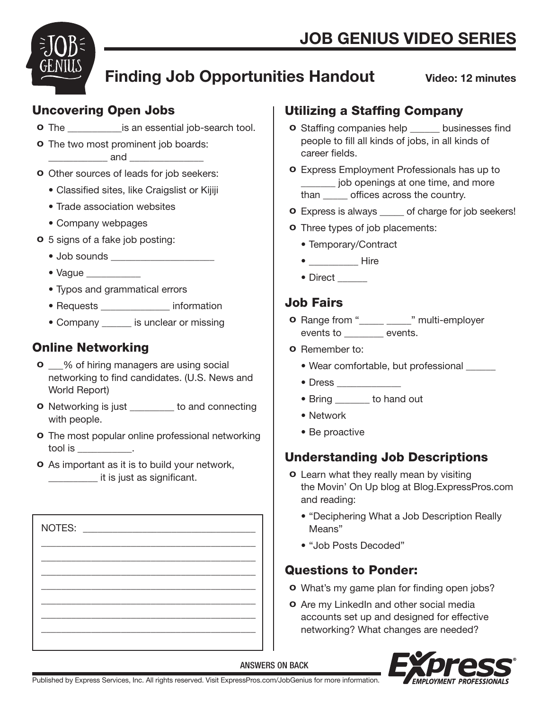

# Finding Job Opportunities Handout

Video: 12 minutes

## Uncovering Open Jobs

**o** The \_\_\_\_\_\_\_\_\_\_\_\_\_\_\_is an essential job-search tool.

**o** The two most prominent job boards: \_\_\_\_\_\_\_\_\_\_\_\_ and \_\_\_\_\_\_\_\_\_\_\_\_\_\_\_

- o Other sources of leads for job seekers:
	- Classified sites, like Craigslist or Kijiji
	- Trade association websites
	- Company webpages
- o 5 signs of a fake job posting:
	- Job sounds \_\_\_\_\_\_\_\_\_\_\_\_\_\_\_\_\_\_\_\_\_
	- Vaque
	- Typos and grammatical errors
	- Requests \_\_\_\_\_\_\_\_\_\_\_\_\_\_ information
	- Company is unclear or missing

### Online Networking

- **o** % of hiring managers are using social networking to find candidates. (U.S. News and World Report)
- o Networking is just \_\_\_\_\_\_\_\_\_ to and connecting with people.
- **o** The most popular online professional networking tool is \_\_\_\_\_\_\_\_\_\_\_.
- o As important as it is to build your network, \_\_\_\_\_\_\_\_\_\_ it is just as significant.

| NOTES: |  |  |  |
|--------|--|--|--|
|        |  |  |  |
|        |  |  |  |
|        |  |  |  |
|        |  |  |  |

## Utilizing a Staffing Company

- o Staffing companies help \_\_\_\_\_\_ businesses find people to fill all kinds of jobs, in all kinds of career fields.
- o Express Employment Professionals has up to \_\_\_\_\_\_\_ job openings at one time, and more than **offices** across the country.
- o Express is always \_\_\_\_\_ of charge for job seekers!
- o Three types of job placements:
	- Temporary/Contract
	- \_\_\_\_\_\_\_\_\_\_\_\_\_ Hire
	- Direct

## Job Fairs

- o Range from "\_\_\_\_\_ \_\_\_\_\_" multi-employer events to \_\_\_\_\_\_\_\_ events.
- o Remember to:
	- Wear comfortable, but professional \_\_\_\_\_\_
	- Dress \_\_\_\_\_\_\_\_\_\_\_\_\_
	- Bring \_\_\_\_\_\_\_ to hand out
	- Network
	- Be proactive

## Understanding Job Descriptions

- o Learn what they really mean by visiting the Movin' On Up blog at Blog.ExpressPros.com and reading:
	- "Deciphering What a Job Description Really Means"
	- "Job Posts Decoded"

### Questions to Ponder:

- o What's my game plan for finding open jobs?
- o Are my LinkedIn and other social media accounts set up and designed for effective networking? What changes are needed?



ANSWERS ON BACK